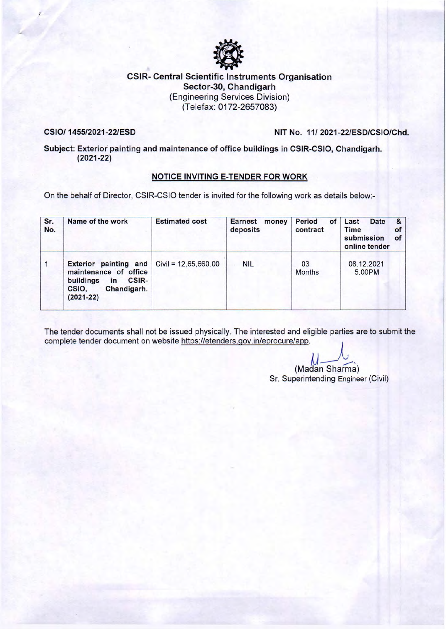

## CSIR- Central Scientific Instruments Organisation Sector-30, Chandigarh (Engineering Services Division) (Telefax: 0172-2657083)

#### CSI0/ 1455/2021-22/ESD NIT No. 11/ 2021-22/ESD/CSIO/Chd.

Subject: Exterior painting and maintenance of office buildings in CSIR-CSIO, Chandigarh. (2021-22)

### NOTICE INVITING E-TENDER FOR WORK

On the behalf of Director, CSIR-CSIO tender is invited for the following work as details below:-

| Sr.<br>No. | Name of the work                                                                                                                                             | <b>Estimated cost</b> | <b>Earnest</b><br>money<br>deposits | <b>Period</b><br>of<br>contract | Last<br>Date<br>&<br>Time<br>of<br>submission<br>of<br>online tender |
|------------|--------------------------------------------------------------------------------------------------------------------------------------------------------------|-----------------------|-------------------------------------|---------------------------------|----------------------------------------------------------------------|
|            | <b>Exterior painting and <math>Civil = 12,65,660.00</math></b><br>maintenance of office<br>buildings<br>CSIR-<br>in<br>Chandigarh.<br>CSIO.<br>$(2021 - 22)$ |                       | <b>NIL</b>                          | 03<br><b>Months</b>             | 08.12.2021<br>5.00PM                                                 |

The tender documents shall not be issued physically. The interested and eligible parties are to submit the complete tender document on website https://etenders.gov.in/eprocure/app.

(Madan Sharma)

Sr. Superintending Engineer (Civil)